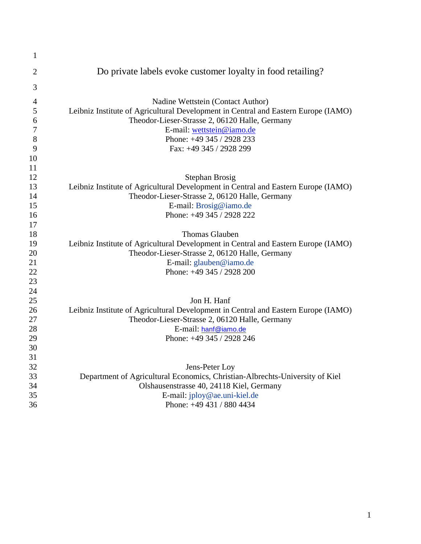| $\mathbf{1}$   |                                                                                    |
|----------------|------------------------------------------------------------------------------------|
| $\overline{2}$ | Do private labels evoke customer loyalty in food retailing?                        |
| 3              |                                                                                    |
| $\overline{4}$ | Nadine Wettstein (Contact Author)                                                  |
| 5              | Leibniz Institute of Agricultural Development in Central and Eastern Europe (IAMO) |
| 6              | Theodor-Lieser-Strasse 2, 06120 Halle, Germany                                     |
| 7              | E-mail: wettstein@iamo.de                                                          |
| 8              | Phone: +49 345 / 2928 233                                                          |
| 9              | Fax: +49 345 / 2928 299                                                            |
| 10             |                                                                                    |
| 11             |                                                                                    |
| 12             | Stephan Brosig                                                                     |
| 13             | Leibniz Institute of Agricultural Development in Central and Eastern Europe (IAMO) |
| 14             | Theodor-Lieser-Strasse 2, 06120 Halle, Germany                                     |
| 15             | E-mail: Brosig@iamo.de                                                             |
| 16             | Phone: +49 345 / 2928 222                                                          |
| 17             |                                                                                    |
| 18             | <b>Thomas Glauben</b>                                                              |
| 19             | Leibniz Institute of Agricultural Development in Central and Eastern Europe (IAMO) |
| 20             | Theodor-Lieser-Strasse 2, 06120 Halle, Germany                                     |
| 21             | E-mail: glauben@iamo.de                                                            |
| 22             | Phone: +49 345 / 2928 200                                                          |
| 23             |                                                                                    |
| 24             |                                                                                    |
| 25             | Jon H. Hanf                                                                        |
| 26             | Leibniz Institute of Agricultural Development in Central and Eastern Europe (IAMO) |
| 27             | Theodor-Lieser-Strasse 2, 06120 Halle, Germany                                     |
| 28             | E-mail: hanf@iamo.de                                                               |
| 29             | Phone: +49 345 / 2928 246                                                          |
| 30             |                                                                                    |
| 31             |                                                                                    |
| 32             | Jens-Peter Loy                                                                     |
| 33             | Department of Agricultural Economics, Christian-Albrechts-University of Kiel       |
| 34             | Olshausenstrasse 40, 24118 Kiel, Germany                                           |
| 35             | E-mail: jploy@ae.uni-kiel.de                                                       |
| 36             | Phone: +49 431 / 880 4434                                                          |
|                |                                                                                    |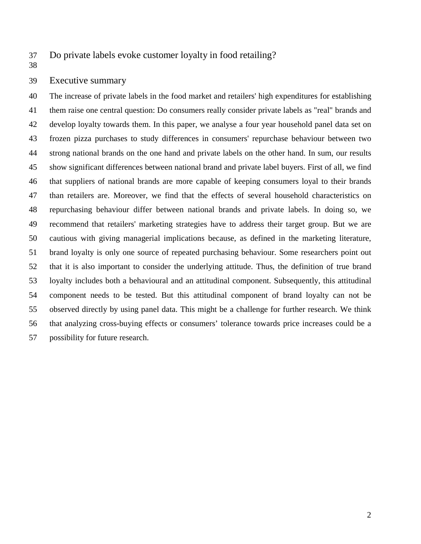37 Do private labels evoke customer loyalty in food retailing?

38

## 39 Executive summary

40 The increase of private labels in the food market and retailers' high expenditures for establishing 41 them raise one central question: Do consumers really consider private labels as "real" brands and 42 develop loyalty towards them. In this paper, we analyse a four year household panel data set on 43 frozen pizza purchases to study differences in consumers' repurchase behaviour between two 44 strong national brands on the one hand and private labels on the other hand. In sum, our results 45 show significant differences between national brand and private label buyers. First of all, we find 46 that suppliers of national brands are more capable of keeping consumers loyal to their brands 47 than retailers are. Moreover, we find that the effects of several household characteristics on 48 repurchasing behaviour differ between national brands and private labels. In doing so, we 49 recommend that retailers' marketing strategies have to address their target group. But we are 50 cautious with giving managerial implications because, as defined in the marketing literature, 51 brand loyalty is only one source of repeated purchasing behaviour. Some researchers point out 52 that it is also important to consider the underlying attitude. Thus, the definition of true brand 53 loyalty includes both a behavioural and an attitudinal component. Subsequently, this attitudinal 54 component needs to be tested. But this attitudinal component of brand loyalty can not be 55 observed directly by using panel data. This might be a challenge for further research. We think 56 that analyzing cross-buying effects or consumers' tolerance towards price increases could be a 57 possibility for future research.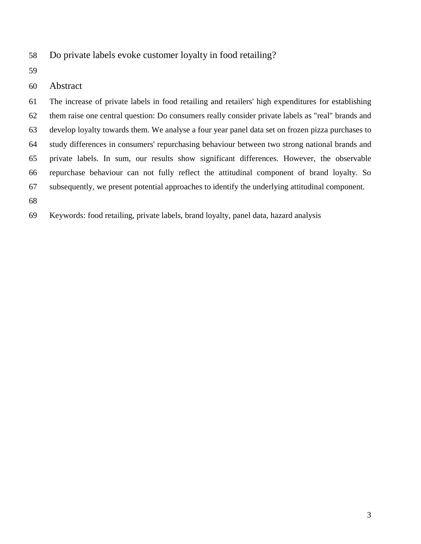58 Do private labels evoke customer loyalty in food retailing?

59

# 60 Abstract

61 The increase of private labels in food retailing and retailers' high expenditures for establishing 62 them raise one central question: Do consumers really consider private labels as "real" brands and 63 develop loyalty towards them. We analyse a four year panel data set on frozen pizza purchases to 64 study differences in consumers' repurchasing behaviour between two strong national brands and 65 private labels. In sum, our results show significant differences. However, the observable 66 repurchase behaviour can not fully reflect the attitudinal component of brand loyalty. So 67 subsequently, we present potential approaches to identify the underlying attitudinal component.

68

69 Keywords: food retailing, private labels, brand loyalty, panel data, hazard analysis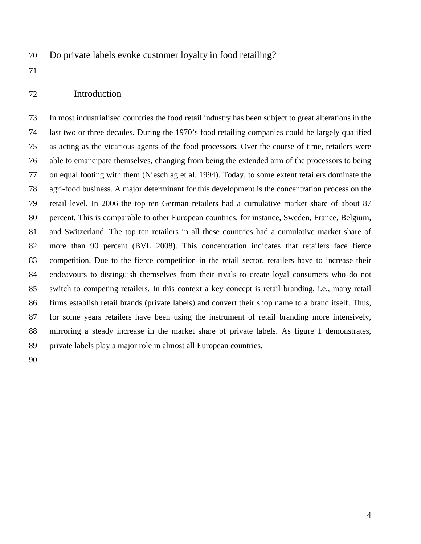70 Do private labels evoke customer loyalty in food retailing?

71

#### 72 Introduction

73 In most industrialised countries the food retail industry has been subject to great alterations in the 74 last two or three decades. During the 1970's food retailing companies could be largely qualified 75 as acting as the vicarious agents of the food processors. Over the course of time, retailers were 76 able to emancipate themselves, changing from being the extended arm of the processors to being 77 on equal footing with them (Nieschlag et al. 1994). Today, to some extent retailers dominate the 78 agri-food business. A major determinant for this development is the concentration process on the 79 retail level. In 2006 the top ten German retailers had a cumulative market share of about 87 80 percent. This is comparable to other European countries, for instance, Sweden, France, Belgium, 81 and Switzerland. The top ten retailers in all these countries had a cumulative market share of 82 more than 90 percent (BVL 2008). This concentration indicates that retailers face fierce 83 competition. Due to the fierce competition in the retail sector, retailers have to increase their 84 endeavours to distinguish themselves from their rivals to create loyal consumers who do not 85 switch to competing retailers. In this context a key concept is retail branding, i.e., many retail 86 firms establish retail brands (private labels) and convert their shop name to a brand itself. Thus, 87 for some years retailers have been using the instrument of retail branding more intensively, 88 mirroring a steady increase in the market share of private labels. As figure 1 demonstrates, 89 private labels play a major role in almost all European countries.

90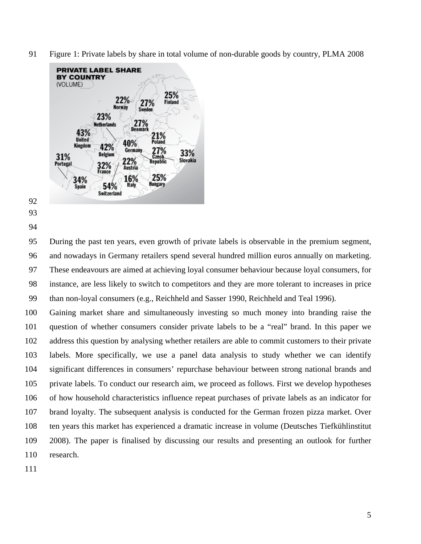91 Figure 1: Private labels by share in total volume of non-durable goods by country, PLMA 2008



- 92
- 93
- 94

95 During the past ten years, even growth of private labels is observable in the premium segment, 96 and nowadays in Germany retailers spend several hundred million euros annually on marketing. 97 These endeavours are aimed at achieving loyal consumer behaviour because loyal consumers, for 98 instance, are less likely to switch to competitors and they are more tolerant to increases in price 99 than non-loyal consumers (e.g., Reichheld and Sasser 1990, Reichheld and Teal 1996).

100 Gaining market share and simultaneously investing so much money into branding raise the 101 question of whether consumers consider private labels to be a "real" brand. In this paper we 102 address this question by analysing whether retailers are able to commit customers to their private 103 labels. More specifically, we use a panel data analysis to study whether we can identify 104 significant differences in consumers' repurchase behaviour between strong national brands and 105 private labels. To conduct our research aim, we proceed as follows. First we develop hypotheses 106 of how household characteristics influence repeat purchases of private labels as an indicator for 107 brand loyalty. The subsequent analysis is conducted for the German frozen pizza market. Over 108 ten years this market has experienced a dramatic increase in volume (Deutsches Tiefkühlinstitut 109 2008). The paper is finalised by discussing our results and presenting an outlook for further 110 research.

111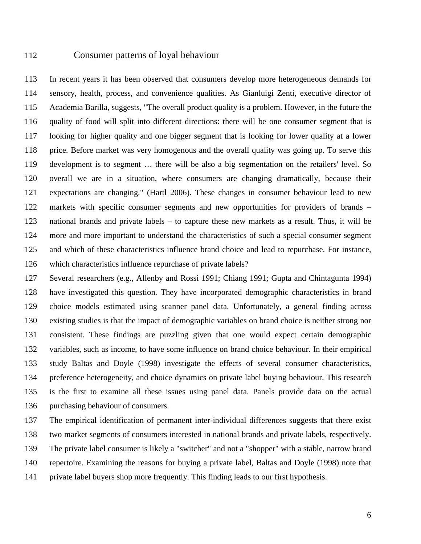## 112 Consumer patterns of loyal behaviour

113 In recent years it has been observed that consumers develop more heterogeneous demands for 114 sensory, health, process, and convenience qualities. As Gianluigi Zenti, executive director of 115 Academia Barilla, suggests, "The overall product quality is a problem. However, in the future the 116 quality of food will split into different directions: there will be one consumer segment that is 117 looking for higher quality and one bigger segment that is looking for lower quality at a lower 118 price. Before market was very homogenous and the overall quality was going up. To serve this 119 development is to segment … there will be also a big segmentation on the retailers' level. So 120 overall we are in a situation, where consumers are changing dramatically, because their 121 expectations are changing." (Hartl 2006). These changes in consumer behaviour lead to new 122 markets with specific consumer segments and new opportunities for providers of brands – 123 national brands and private labels – to capture these new markets as a result. Thus, it will be 124 more and more important to understand the characteristics of such a special consumer segment 125 and which of these characteristics influence brand choice and lead to repurchase. For instance, 126 which characteristics influence repurchase of private labels?

127 Several researchers (e.g., Allenby and Rossi 1991; Chiang 1991; Gupta and Chintagunta 1994) 128 have investigated this question. They have incorporated demographic characteristics in brand 129 choice models estimated using scanner panel data. Unfortunately, a general finding across 130 existing studies is that the impact of demographic variables on brand choice is neither strong nor 131 consistent. These findings are puzzling given that one would expect certain demographic 132 variables, such as income, to have some influence on brand choice behaviour. In their empirical 133 study Baltas and Doyle (1998) investigate the effects of several consumer characteristics, 134 preference heterogeneity, and choice dynamics on private label buying behaviour. This research 135 is the first to examine all these issues using panel data. Panels provide data on the actual 136 purchasing behaviour of consumers.

137 The empirical identification of permanent inter-individual differences suggests that there exist 138 two market segments of consumers interested in national brands and private labels, respectively. 139 The private label consumer is likely a "switcher" and not a "shopper" with a stable, narrow brand 140 repertoire. Examining the reasons for buying a private label, Baltas and Doyle (1998) note that 141 private label buyers shop more frequently. This finding leads to our first hypothesis.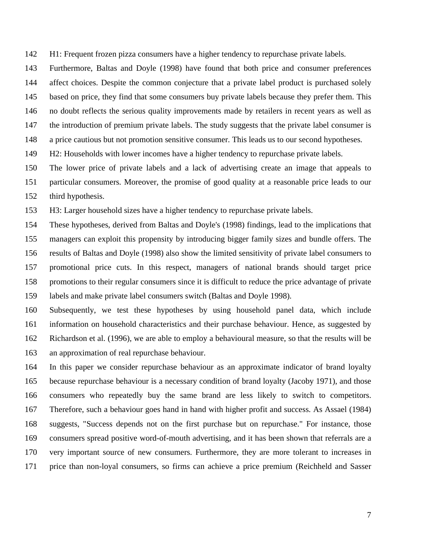142 H1: Frequent frozen pizza consumers have a higher tendency to repurchase private labels.

143 Furthermore, Baltas and Doyle (1998) have found that both price and consumer preferences 144 affect choices. Despite the common conjecture that a private label product is purchased solely 145 based on price, they find that some consumers buy private labels because they prefer them. This 146 no doubt reflects the serious quality improvements made by retailers in recent years as well as 147 the introduction of premium private labels. The study suggests that the private label consumer is 148 a price cautious but not promotion sensitive consumer. This leads us to our second hypotheses.

149 H2: Households with lower incomes have a higher tendency to repurchase private labels.

150 The lower price of private labels and a lack of advertising create an image that appeals to 151 particular consumers. Moreover, the promise of good quality at a reasonable price leads to our 152 third hypothesis.

153 H3: Larger household sizes have a higher tendency to repurchase private labels.

154 These hypotheses, derived from Baltas and Doyle's (1998) findings, lead to the implications that 155 managers can exploit this propensity by introducing bigger family sizes and bundle offers. The 156 results of Baltas and Doyle (1998) also show the limited sensitivity of private label consumers to 157 promotional price cuts. In this respect, managers of national brands should target price 158 promotions to their regular consumers since it is difficult to reduce the price advantage of private 159 labels and make private label consumers switch (Baltas and Doyle 1998).

160 Subsequently, we test these hypotheses by using household panel data, which include 161 information on household characteristics and their purchase behaviour. Hence, as suggested by 162 Richardson et al. (1996), we are able to employ a behavioural measure, so that the results will be 163 an approximation of real repurchase behaviour.

164 In this paper we consider repurchase behaviour as an approximate indicator of brand loyalty 165 because repurchase behaviour is a necessary condition of brand loyalty (Jacoby 1971), and those 166 consumers who repeatedly buy the same brand are less likely to switch to competitors. 167 Therefore, such a behaviour goes hand in hand with higher profit and success. As Assael (1984) 168 suggests, "Success depends not on the first purchase but on repurchase." For instance, those 169 consumers spread positive word-of-mouth advertising, and it has been shown that referrals are a 170 very important source of new consumers. Furthermore, they are more tolerant to increases in 171 price than non-loyal consumers, so firms can achieve a price premium (Reichheld and Sasser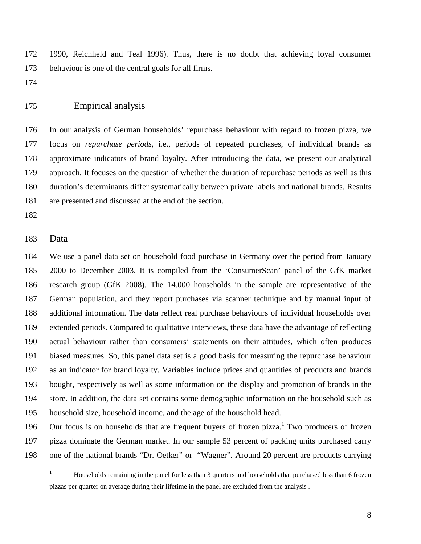172 1990, Reichheld and Teal 1996). Thus, there is no doubt that achieving loyal consumer 173 behaviour is one of the central goals for all firms.

174

# 175 Empirical analysis

176 In our analysis of German households' repurchase behaviour with regard to frozen pizza, we 177 focus on *repurchase periods*, i.e., periods of repeated purchases, of individual brands as 178 approximate indicators of brand loyalty. After introducing the data, we present our analytical 179 approach. It focuses on the question of whether the duration of repurchase periods as well as this 180 duration's determinants differ systematically between private labels and national brands. Results 181 are presented and discussed at the end of the section.

182

#### 183 Data

184 We use a panel data set on household food purchase in Germany over the period from January 185 2000 to December 2003. It is compiled from the 'ConsumerScan' panel of the GfK market 186 research group (GfK 2008). The 14.000 households in the sample are representative of the 187 German population, and they report purchases via scanner technique and by manual input of 188 additional information. The data reflect real purchase behaviours of individual households over 189 extended periods. Compared to qualitative interviews, these data have the advantage of reflecting 190 actual behaviour rather than consumers' statements on their attitudes, which often produces 191 biased measures. So, this panel data set is a good basis for measuring the repurchase behaviour 192 as an indicator for brand loyalty. Variables include prices and quantities of products and brands 193 bought, respectively as well as some information on the display and promotion of brands in the 194 store. In addition, the data set contains some demographic information on the household such as 195 household size, household income, and the age of the household head.

196 Our focus is on households that are frequent buyers of frozen pizza.<sup>1</sup> Two producers of frozen 197 pizza dominate the German market. In our sample 53 percent of packing units purchased carry 198 one of the national brands "Dr. Oetker" or "Wagner". Around 20 percent are products carrying

 $\frac{1}{1}$  Households remaining in the panel for less than 3 quarters and households that purchased less than 6 frozen pizzas per quarter on average during their lifetime in the panel are excluded from the analysis .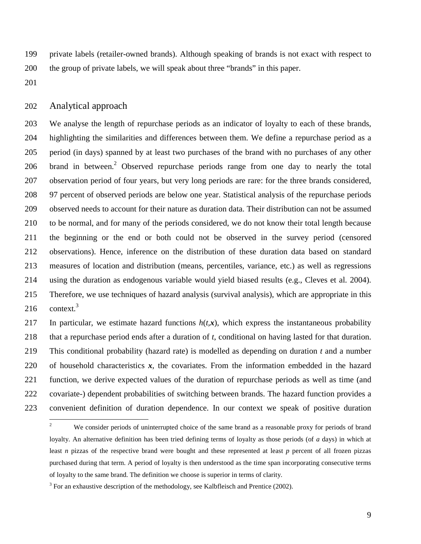199 private labels (retailer-owned brands). Although speaking of brands is not exact with respect to 200 the group of private labels, we will speak about three "brands" in this paper.

201

#### 202 Analytical approach

203 We analyse the length of repurchase periods as an indicator of loyalty to each of these brands, 204 highlighting the similarities and differences between them. We define a repurchase period as a 205 period (in days) spanned by at least two purchases of the brand with no purchases of any other 206 brand in between.<sup>2</sup> Observed repurchase periods range from one day to nearly the total 207 observation period of four years, but very long periods are rare: for the three brands considered, 208 97 percent of observed periods are below one year. Statistical analysis of the repurchase periods 209 observed needs to account for their nature as duration data. Their distribution can not be assumed 210 to be normal, and for many of the periods considered, we do not know their total length because 211 the beginning or the end or both could not be observed in the survey period (censored 212 observations). Hence, inference on the distribution of these duration data based on standard 213 measures of location and distribution (means, percentiles, variance, etc.) as well as regressions 214 using the duration as endogenous variable would yield biased results (e.g., Cleves et al. 2004). 215 Therefore, we use techniques of hazard analysis (survival analysis), which are appropriate in this context.<sup>3</sup> 216

217 In particular, we estimate hazard functions  $h(t, x)$ , which express the instantaneous probability 218 that a repurchase period ends after a duration of *t*, conditional on having lasted for that duration. 219 This conditional probability (hazard rate) is modelled as depending on duration *t* and a number 220 of household characteristics *x*, the covariates. From the information embedded in the hazard 221 function, we derive expected values of the duration of repurchase periods as well as time (and 222 covariate-) dependent probabilities of switching between brands. The hazard function provides a 223 convenient definition of duration dependence. In our context we speak of positive duration

 $\frac{1}{2}$  We consider periods of uninterrupted choice of the same brand as a reasonable proxy for periods of brand loyalty. An alternative definition has been tried defining terms of loyalty as those periods (of *a* days) in which at least *n* pizzas of the respective brand were bought and these represented at least *p* percent of all frozen pizzas purchased during that term. A period of loyalty is then understood as the time span incorporating consecutive terms of loyalty to the same brand. The definition we choose is superior in terms of clarity.

 $3$  For an exhaustive description of the methodology, see Kalbfleisch and Prentice (2002).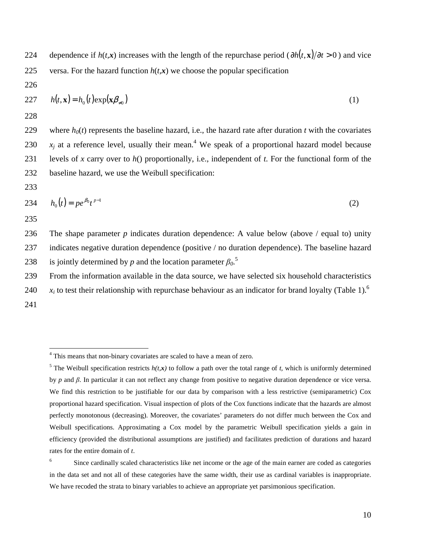224 dependence if  $h(t, x)$  increases with the length of the repurchase period ( $\partial h(t, x)/\partial t > 0$ ) and vice 225 versa. For the hazard function  $h(t, x)$  we choose the popular specification

226

$$
227 \qquad h(t, \mathbf{x}) = h_0(t) \exp(\mathbf{x} \beta_{\neq 0}) \tag{1}
$$

228

229 where  $h_0(t)$  represents the baseline hazard, i.e., the hazard rate after duration *t* with the covariates 230  $x_j$  at a reference level, usually their mean.<sup>4</sup> We speak of a proportional hazard model because 231 levels of *x* carry over to *h*() proportionally, i.e., independent of *t*. For the functional form of the 232 baseline hazard, we use the Weibull specification:

233

234 
$$
h_0(t) = pe^{\beta_0} t^{p-1}
$$
 (2)

235

 $\overline{a}$ 

236 The shape parameter *p* indicates duration dependence: A value below (above / equal to) unity 237 indicates negative duration dependence (positive / no duration dependence). The baseline hazard is jointly determined by  $p$  and the location parameter  $\beta_0$ <sup>5</sup> 238

239 From the information available in the data source, we have selected six household characteristics

 $x_i$  to test their relationship with repurchase behaviour as an indicator for brand loyalty (Table 1).<sup>6</sup> 240 241

<sup>&</sup>lt;sup>4</sup> This means that non-binary covariates are scaled to have a mean of zero.

<sup>&</sup>lt;sup>5</sup> The Weibull specification restricts  $h(t, x)$  to follow a path over the total range of *t*, which is uniformly determined by *p* and β. In particular it can not reflect any change from positive to negative duration dependence or vice versa. We find this restriction to be justifiable for our data by comparison with a less restrictive (semiparametric) Cox proportional hazard specification. Visual inspection of plots of the Cox functions indicate that the hazards are almost perfectly monotonous (decreasing). Moreover, the covariates' parameters do not differ much between the Cox and Weibull specifications. Approximating a Cox model by the parametric Weibull specification yields a gain in efficiency (provided the distributional assumptions are justified) and facilitates prediction of durations and hazard rates for the entire domain of *t*.

<sup>6</sup> Since cardinally scaled characteristics like net income or the age of the main earner are coded as categories in the data set and not all of these categories have the same width, their use as cardinal variables is inappropriate. We have recoded the strata to binary variables to achieve an appropriate yet parsimonious specification.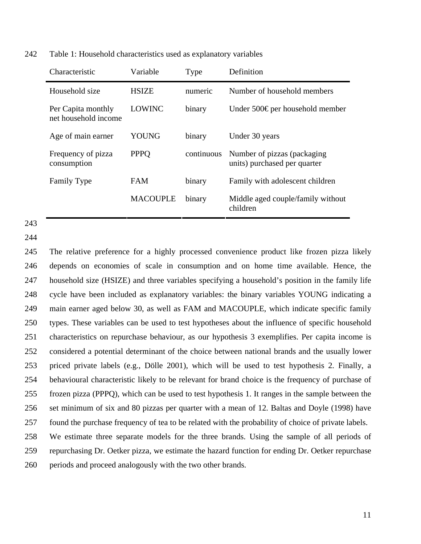242 Table 1: Household characteristics used as explanatory variables

| Characteristic                             | Variable        | <b>Type</b> | Definition                                                   |
|--------------------------------------------|-----------------|-------------|--------------------------------------------------------------|
| Household size                             | <b>HSIZE</b>    | numeric     | Number of household members                                  |
| Per Capita monthly<br>net household income | <b>LOWINC</b>   | binary      | Under 500€ per household member                              |
| Age of main earner                         | <b>YOUNG</b>    | binary      | Under 30 years                                               |
| Frequency of pizza<br>consumption          | <b>PPPO</b>     | continuous  | Number of pizzas (packaging)<br>units) purchased per quarter |
| <b>Family Type</b>                         | <b>FAM</b>      | binary      | Family with adolescent children                              |
|                                            | <b>MACOUPLE</b> | binary      | Middle aged couple/family without<br>children                |

243

244

245 The relative preference for a highly processed convenience product like frozen pizza likely 246 depends on economies of scale in consumption and on home time available. Hence, the 247 household size (HSIZE) and three variables specifying a household's position in the family life 248 cycle have been included as explanatory variables: the binary variables YOUNG indicating a 249 main earner aged below 30, as well as FAM and MACOUPLE, which indicate specific family 250 types. These variables can be used to test hypotheses about the influence of specific household 251 characteristics on repurchase behaviour, as our hypothesis 3 exemplifies. Per capita income is 252 considered a potential determinant of the choice between national brands and the usually lower 253 priced private labels (e.g., Dölle 2001), which will be used to test hypothesis 2. Finally, a 254 behavioural characteristic likely to be relevant for brand choice is the frequency of purchase of 255 frozen pizza (PPPQ), which can be used to test hypothesis 1. It ranges in the sample between the 256 set minimum of six and 80 pizzas per quarter with a mean of 12. Baltas and Doyle (1998) have 257 found the purchase frequency of tea to be related with the probability of choice of private labels.

258 We estimate three separate models for the three brands. Using the sample of all periods of

259 repurchasing Dr. Oetker pizza, we estimate the hazard function for ending Dr. Oetker repurchase 260 periods and proceed analogously with the two other brands.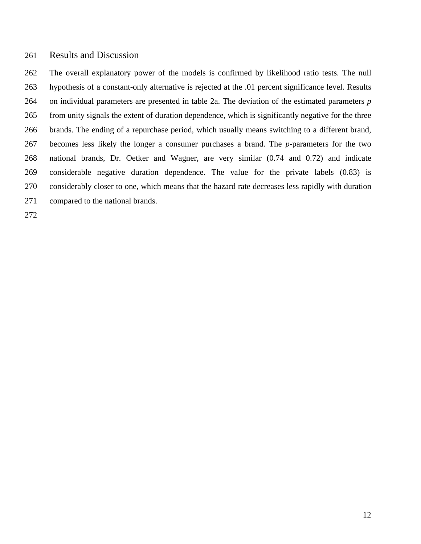# 261 Results and Discussion

262 The overall explanatory power of the models is confirmed by likelihood ratio tests. The null 263 hypothesis of a constant-only alternative is rejected at the .01 percent significance level. Results 264 on individual parameters are presented in table 2a. The deviation of the estimated parameters *p* 265 from unity signals the extent of duration dependence, which is significantly negative for the three 266 brands. The ending of a repurchase period, which usually means switching to a different brand, 267 becomes less likely the longer a consumer purchases a brand. The *p*-parameters for the two 268 national brands, Dr. Oetker and Wagner, are very similar (0.74 and 0.72) and indicate 269 considerable negative duration dependence. The value for the private labels (0.83) is 270 considerably closer to one, which means that the hazard rate decreases less rapidly with duration 271 compared to the national brands.

272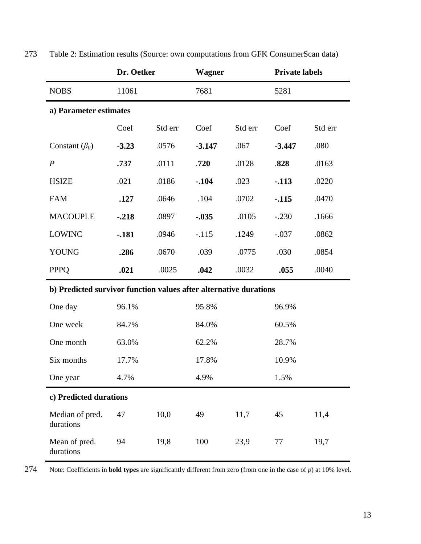|                                                                   | Dr. Oetker             |         | <b>Wagner</b> |         | <b>Private labels</b> |         |
|-------------------------------------------------------------------|------------------------|---------|---------------|---------|-----------------------|---------|
| <b>NOBS</b>                                                       | 11061                  |         | 7681          |         | 5281                  |         |
|                                                                   | a) Parameter estimates |         |               |         |                       |         |
|                                                                   | Coef                   | Std err | Coef          | Std err | Coef                  | Std err |
| Constant $(\beta_0)$                                              | $-3.23$                | .0576   | $-3.147$      | .067    | $-3.447$              | .080    |
| $\boldsymbol{P}$                                                  | .737                   | .0111   | .720          | .0128   | .828                  | .0163   |
| <b>HSIZE</b>                                                      | .021                   | .0186   | $-.104$       | .023    | $-113$                | .0220   |
| <b>FAM</b>                                                        | .127                   | .0646   | .104          | .0702   | $-115$                | .0470   |
| <b>MACOUPLE</b>                                                   | $-.218$                | .0897   | $-.035$       | .0105   | $-.230$               | .1666   |
| <b>LOWINC</b>                                                     | $-181$                 | .0946   | $-.115$       | .1249   | $-.037$               | .0862   |
| <b>YOUNG</b>                                                      | .286                   | .0670   | .039          | .0775   | .030                  | .0854   |
| <b>PPPQ</b>                                                       | .021                   | .0025   | .042          | .0032   | .055                  | .0040   |
| b) Predicted survivor function values after alternative durations |                        |         |               |         |                       |         |
| One day                                                           | 96.1%                  |         | 95.8%         |         | 96.9%                 |         |
| One week                                                          | 84.7%                  |         | 84.0%         |         | 60.5%                 |         |
| One month                                                         | 63.0%                  |         | 62.2%         |         | 28.7%                 |         |
| Six months                                                        | 17.7%                  |         | 17.8%         |         | 10.9%                 |         |
| One year                                                          | 4.7%                   |         | 4.9%          |         | 1.5%                  |         |
| c) Predicted durations                                            |                        |         |               |         |                       |         |
| Median of pred.<br>durations                                      | 47                     | 10,0    | 49            | 11,7    | 45                    | 11,4    |
| Mean of pred.<br>durations                                        | 94                     | 19,8    | 100           | 23,9    | 77                    | 19,7    |

273 Table 2: Estimation results (Source: own computations from GFK ConsumerScan data)

274 Note: Coefficients in **bold types** are significantly different from zero (from one in the case of *p*) at 10% level.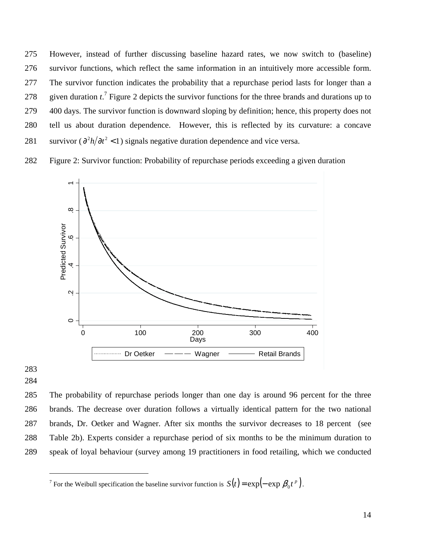- 275 However, instead of further discussing baseline hazard rates, we now switch to (baseline) 276 survivor functions, which reflect the same information in an intuitively more accessible form. 277 The survivor function indicates the probability that a repurchase period lasts for longer than a 278 given duration  $t^{\prime}$ . Figure 2 depicts the survivor functions for the three brands and durations up to 279 400 days. The survivor function is downward sloping by definition; hence, this property does not 280 tell us about duration dependence. However, this is reflected by its curvature: a concave 281 survivor ( $\frac{\partial^2 h}{\partial t^2}$  < 1) signals negative duration dependence and vice versa.
- 282 Figure 2: Survivor function: Probability of repurchase periods exceeding a given duration



283 284

 $\overline{a}$ 

285 The probability of repurchase periods longer than one day is around 96 percent for the three 286 brands. The decrease over duration follows a virtually identical pattern for the two national 287 brands, Dr. Oetker and Wagner. After six months the survivor decreases to 18 percent (see 288 Table 2b). Experts consider a repurchase period of six months to be the minimum duration to 289 speak of loyal behaviour (survey among 19 practitioners in food retailing, which we conducted

<sup>&</sup>lt;sup>7</sup> For the Weibull specification the baseline survivor function is  $S(t) = \exp(-\exp \beta_0 t^p)$ .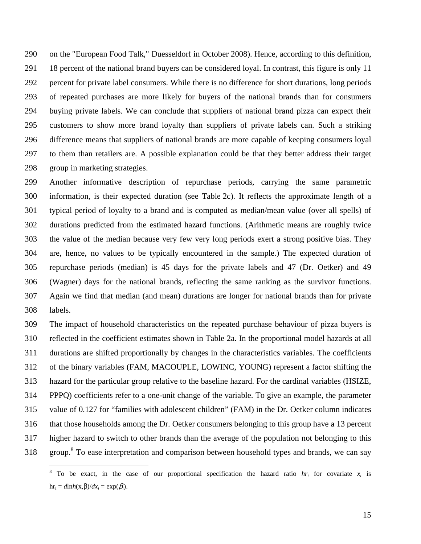290 on the "European Food Talk," Duesseldorf in October 2008). Hence, according to this definition, 291 18 percent of the national brand buyers can be considered loyal. In contrast, this figure is only 11 292 percent for private label consumers. While there is no difference for short durations, long periods 293 of repeated purchases are more likely for buyers of the national brands than for consumers 294 buying private labels. We can conclude that suppliers of national brand pizza can expect their 295 customers to show more brand loyalty than suppliers of private labels can. Such a striking 296 difference means that suppliers of national brands are more capable of keeping consumers loyal 297 to them than retailers are. A possible explanation could be that they better address their target 298 group in marketing strategies.

299 Another informative description of repurchase periods, carrying the same parametric 300 information, is their expected duration (see Table 2c). It reflects the approximate length of a 301 typical period of loyalty to a brand and is computed as median/mean value (over all spells) of 302 durations predicted from the estimated hazard functions. (Arithmetic means are roughly twice 303 the value of the median because very few very long periods exert a strong positive bias. They 304 are, hence, no values to be typically encountered in the sample.) The expected duration of 305 repurchase periods (median) is 45 days for the private labels and 47 (Dr. Oetker) and 49 306 (Wagner) days for the national brands, reflecting the same ranking as the survivor functions. 307 Again we find that median (and mean) durations are longer for national brands than for private 308 labels.

309 The impact of household characteristics on the repeated purchase behaviour of pizza buyers is 310 reflected in the coefficient estimates shown in Table 2a. In the proportional model hazards at all 311 durations are shifted proportionally by changes in the characteristics variables. The coefficients 312 of the binary variables (FAM, MACOUPLE, LOWINC, YOUNG) represent a factor shifting the 313 hazard for the particular group relative to the baseline hazard. For the cardinal variables (HSIZE, 314 PPPQ) coefficients refer to a one-unit change of the variable. To give an example, the parameter 315 value of 0.127 for "families with adolescent children" (FAM) in the Dr. Oetker column indicates 316 that those households among the Dr. Oetker consumers belonging to this group have a 13 percent 317 higher hazard to switch to other brands than the average of the population not belonging to this 318 group.<sup>8</sup> To ease interpretation and comparison between household types and brands, we can say

<sup>&</sup>lt;sup>8</sup> To be exact, in the case of our proportional specification the hazard ratio  $hr_i$  for covariate  $x_i$  is  $hr_i = dlnh(x, β)/dx_i = exp(β_i).$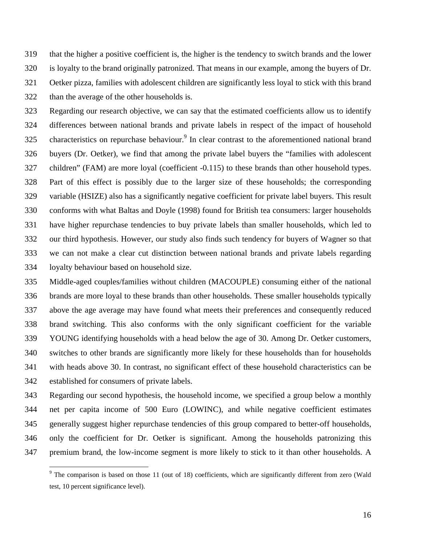319 that the higher a positive coefficient is, the higher is the tendency to switch brands and the lower 320 is loyalty to the brand originally patronized. That means in our example, among the buyers of Dr. 321 Oetker pizza, families with adolescent children are significantly less loyal to stick with this brand 322 than the average of the other households is.

323 Regarding our research objective, we can say that the estimated coefficients allow us to identify 324 differences between national brands and private labels in respect of the impact of household 325 characteristics on repurchase behaviour.<sup>9</sup> In clear contrast to the aforementioned national brand 326 buyers (Dr. Oetker), we find that among the private label buyers the "families with adolescent 327 children" (FAM) are more loyal (coefficient -0.115) to these brands than other household types. 328 Part of this effect is possibly due to the larger size of these households; the corresponding 329 variable (HSIZE) also has a significantly negative coefficient for private label buyers. This result 330 conforms with what Baltas and Doyle (1998) found for British tea consumers: larger households 331 have higher repurchase tendencies to buy private labels than smaller households, which led to 332 our third hypothesis. However, our study also finds such tendency for buyers of Wagner so that 333 we can not make a clear cut distinction between national brands and private labels regarding 334 loyalty behaviour based on household size.

335 Middle-aged couples/families without children (MACOUPLE) consuming either of the national 336 brands are more loyal to these brands than other households. These smaller households typically 337 above the age average may have found what meets their preferences and consequently reduced 338 brand switching. This also conforms with the only significant coefficient for the variable 339 YOUNG identifying households with a head below the age of 30. Among Dr. Oetker customers, 340 switches to other brands are significantly more likely for these households than for households 341 with heads above 30. In contrast, no significant effect of these household characteristics can be 342 established for consumers of private labels.

343 Regarding our second hypothesis, the household income, we specified a group below a monthly 344 net per capita income of 500 Euro (LOWINC), and while negative coefficient estimates 345 generally suggest higher repurchase tendencies of this group compared to better-off households, 346 only the coefficient for Dr. Oetker is significant. Among the households patronizing this 347 premium brand, the low-income segment is more likely to stick to it than other households. A

-

 $9$  The comparison is based on those 11 (out of 18) coefficients, which are significantly different from zero (Wald test, 10 percent significance level).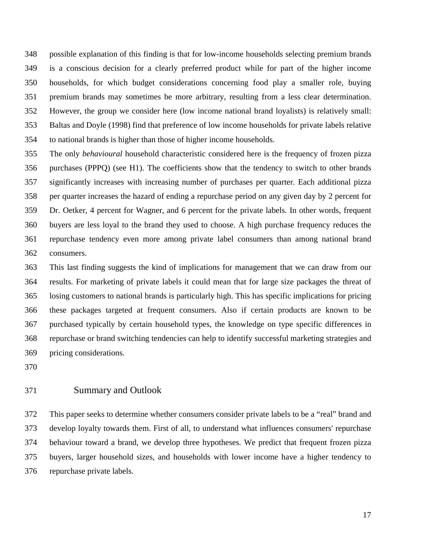348 possible explanation of this finding is that for low-income households selecting premium brands 349 is a conscious decision for a clearly preferred product while for part of the higher income 350 households, for which budget considerations concerning food play a smaller role, buying 351 premium brands may sometimes be more arbitrary, resulting from a less clear determination. 352 However, the group we consider here (low income national brand loyalists) is relatively small: 353 Baltas and Doyle (1998) find that preference of low income households for private labels relative 354 to national brands is higher than those of higher income households.

355 The only *behavioural* household characteristic considered here is the frequency of frozen pizza 356 purchases (PPPQ) (see H1). The coefficients show that the tendency to switch to other brands 357 significantly increases with increasing number of purchases per quarter. Each additional pizza 358 per quarter increases the hazard of ending a repurchase period on any given day by 2 percent for 359 Dr. Oetker, 4 percent for Wagner, and 6 percent for the private labels. In other words, frequent 360 buyers are less loyal to the brand they used to choose. A high purchase frequency reduces the 361 repurchase tendency even more among private label consumers than among national brand 362 consumers.

363 This last finding suggests the kind of implications for management that we can draw from our 364 results. For marketing of private labels it could mean that for large size packages the threat of 365 losing customers to national brands is particularly high. This has specific implications for pricing 366 these packages targeted at frequent consumers. Also if certain products are known to be 367 purchased typically by certain household types, the knowledge on type specific differences in 368 repurchase or brand switching tendencies can help to identify successful marketing strategies and 369 pricing considerations.

370

# 371 Summary and Outlook

372 This paper seeks to determine whether consumers consider private labels to be a "real" brand and 373 develop loyalty towards them. First of all, to understand what influences consumers' repurchase 374 behaviour toward a brand, we develop three hypotheses. We predict that frequent frozen pizza 375 buyers, larger household sizes, and households with lower income have a higher tendency to 376 repurchase private labels.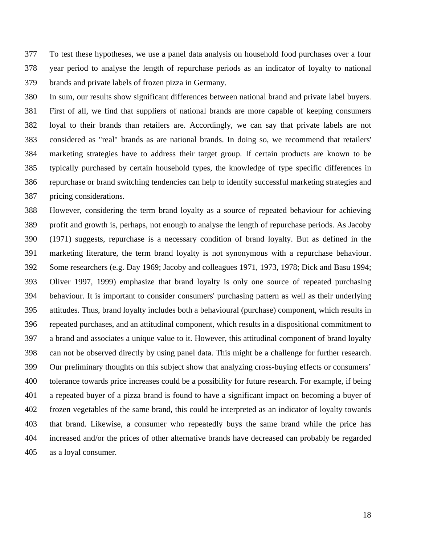377 To test these hypotheses, we use a panel data analysis on household food purchases over a four 378 year period to analyse the length of repurchase periods as an indicator of loyalty to national 379 brands and private labels of frozen pizza in Germany.

380 In sum, our results show significant differences between national brand and private label buyers. 381 First of all, we find that suppliers of national brands are more capable of keeping consumers 382 loyal to their brands than retailers are. Accordingly, we can say that private labels are not 383 considered as "real" brands as are national brands. In doing so, we recommend that retailers' 384 marketing strategies have to address their target group. If certain products are known to be 385 typically purchased by certain household types, the knowledge of type specific differences in 386 repurchase or brand switching tendencies can help to identify successful marketing strategies and 387 pricing considerations.

388 However, considering the term brand loyalty as a source of repeated behaviour for achieving 389 profit and growth is, perhaps, not enough to analyse the length of repurchase periods. As Jacoby 390 (1971) suggests, repurchase is a necessary condition of brand loyalty. But as defined in the 391 marketing literature, the term brand loyalty is not synonymous with a repurchase behaviour. 392 Some researchers (e.g. Day 1969; Jacoby and colleagues 1971, 1973, 1978; Dick and Basu 1994; 393 Oliver 1997, 1999) emphasize that brand loyalty is only one source of repeated purchasing 394 behaviour. It is important to consider consumers' purchasing pattern as well as their underlying 395 attitudes. Thus, brand loyalty includes both a behavioural (purchase) component, which results in 396 repeated purchases, and an attitudinal component, which results in a dispositional commitment to 397 a brand and associates a unique value to it. However, this attitudinal component of brand loyalty 398 can not be observed directly by using panel data. This might be a challenge for further research. 399 Our preliminary thoughts on this subject show that analyzing cross-buying effects or consumers' 400 tolerance towards price increases could be a possibility for future research. For example, if being 401 a repeated buyer of a pizza brand is found to have a significant impact on becoming a buyer of 402 frozen vegetables of the same brand, this could be interpreted as an indicator of loyalty towards 403 that brand. Likewise, a consumer who repeatedly buys the same brand while the price has 404 increased and/or the prices of other alternative brands have decreased can probably be regarded 405 as a loyal consumer.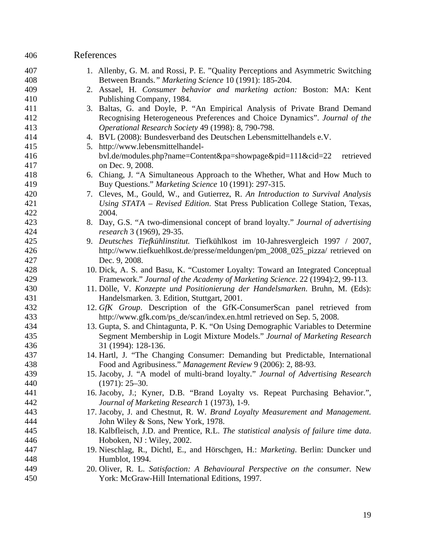# 406 References

| 407 | 1. Allenby, G. M. and Rossi, P. E. "Quality Perceptions and Asymmetric Switching        |
|-----|-----------------------------------------------------------------------------------------|
| 408 | Between Brands." Marketing Science 10 (1991): 185-204.                                  |
| 409 | 2. Assael, H. Consumer behavior and marketing action: Boston: MA: Kent                  |
| 410 | Publishing Company, 1984.                                                               |
| 411 | 3. Baltas, G. and Doyle, P. "An Empirical Analysis of Private Brand Demand              |
| 412 | Recognising Heterogeneous Preferences and Choice Dynamics". Journal of the              |
| 413 | Operational Research Society 49 (1998): 8, 790-798.                                     |
| 414 | 4. BVL (2008): Bundesverband des Deutschen Lebensmittelhandels e.V.                     |
| 415 | 5. http://www.lebensmittelhandel-                                                       |
| 416 | bvl.de/modules.php?name=Content&pa=showpage&pid=111&cid=22<br>retrieved                 |
| 417 | on Dec. 9, 2008.                                                                        |
| 418 | 6. Chiang, J. "A Simultaneous Approach to the Whether, What and How Much to             |
| 419 | Buy Questions." Marketing Science 10 (1991): 297-315.                                   |
| 420 | 7. Cleves, M., Gould, W., and Gutierrez, R. An Introduction to Survival Analysis        |
| 421 | Using STATA – Revised Edition. Stat Press Publication College Station, Texas,           |
| 422 | 2004.                                                                                   |
| 423 | 8. Day, G.S. "A two-dimensional concept of brand loyalty." Journal of advertising       |
| 424 | research 3 (1969), 29-35.                                                               |
| 425 | 9. Deutsches Tiefkühlinstitut. Tiefkühlkost im 10-Jahresvergleich 1997 / 2007,          |
| 426 | http://www.tiefkuehlkost.de/presse/meldungen/pm_2008_025_pizza/ retrieved on            |
| 427 | Dec. 9, 2008.                                                                           |
| 428 | 10. Dick, A. S. and Basu, K. "Customer Loyalty: Toward an Integrated Conceptual         |
| 429 | Framework." Journal of the Academy of Marketing Science. 22 (1994):2, 99-113.           |
| 430 | 11. Dölle, V. Konzepte und Positionierung der Handelsmarken. Bruhn, M. (Eds):           |
| 431 | Handelsmarken. 3. Edition, Stuttgart, 2001.                                             |
| 432 | 12. GfK Group. Description of the GfK-ConsumerScan panel retrieved from                 |
| 433 | http://www.gfk.com/ps_de/scan/index.en.html retrieved on Sep. 5, 2008.                  |
| 434 | 13. Gupta, S. and Chintagunta, P. K. "On Using Demographic Variables to Determine       |
| 435 | Segment Membership in Logit Mixture Models." Journal of Marketing Research              |
| 436 | 31 (1994): 128-136.                                                                     |
| 437 | 14. Hartl, J. "The Changing Consumer: Demanding but Predictable, International          |
| 438 | Food and Agribusiness." Management Review 9 (2006): 2, 88-93.                           |
| 439 | 15. Jacoby, J. "A model of multi-brand loyalty." Journal of Advertising Research        |
| 440 | $(1971): 25 - 30.$                                                                      |
| 441 | 16. Jacoby, J.; Kyner, D.B. "Brand Loyalty vs. Repeat Purchasing Behavior.",            |
| 442 | Journal of Marketing Research 1 (1973), 1-9.                                            |
| 443 | 17. Jacoby, J. and Chestnut, R. W. Brand Loyalty Measurement and Management.            |
| 444 | John Wiley & Sons, New York, 1978.                                                      |
| 445 | 18. Kalbfleisch, J.D. and Prentice, R.L. The statistical analysis of failure time data. |
| 446 | Hoboken, NJ: Wiley, 2002.                                                               |
| 447 | 19. Nieschlag, R., Dichtl, E., and Hörschgen, H.: Marketing. Berlin: Duncker und        |
| 448 | Humblot, 1994.                                                                          |
| 449 | 20. Oliver, R. L. Satisfaction: A Behavioural Perspective on the consumer. New          |
| 450 | York: McGraw-Hill International Editions, 1997.                                         |